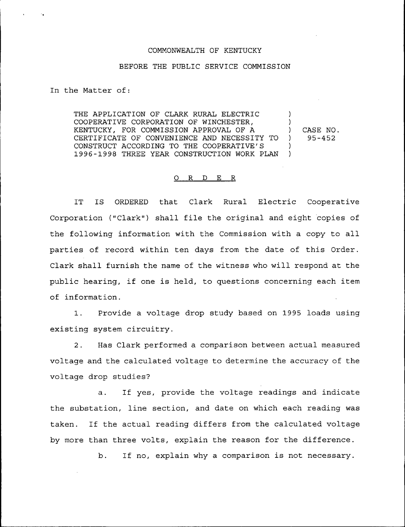## COMMONWEALTH OF KENTUCKY

## BEFORE THE PUBLIC SERVICE COMMISSION

In the Matter of:

THE APPLICATION OF CLARK RURAL ELECTRIC COOPERATIVE CORPORATION OF WINCHESTER, KENTUCKY, FOR COMMISSION APPROVAL OF A CERTIFICATE OF CONVENIENCE AND NECESSITY TO CONSTRUCT ACCORDING TO THE COOPERATIVE'S 1996-1998 THREE YEAR CONSTRUCTION WORK PLAN ) ) ) CASE NO. ) )

) 95-452

## 0 <sup>R</sup> <sup>D</sup> E R

IT IS ORDERED that Clark Rural Electric Cooperativ Corporation ("Clark") shall file the original and eight copies of the following information with the Commission with a copy to all parties of record within ten days from the date of this Order. Clark shall furnish the name of the witness who will respond at the public hearing, if one is held, to questions concerning each item of information.

1. Provide a voltage drop study based on 1995 loads using existing system circuitry.

2. Has Clark performed a comparison between actual measured voltage and the calculated voltage to determine the accuracy of the voltage drop studies?

a. If yes, provide the voltage readings and indicate the substation, line section, and date on which each reading was taken. If the actual reading differs from the calculated voltage by more than three volts, explain the reason for the difference.

b. If no, explain why <sup>a</sup> comparison is not necessary.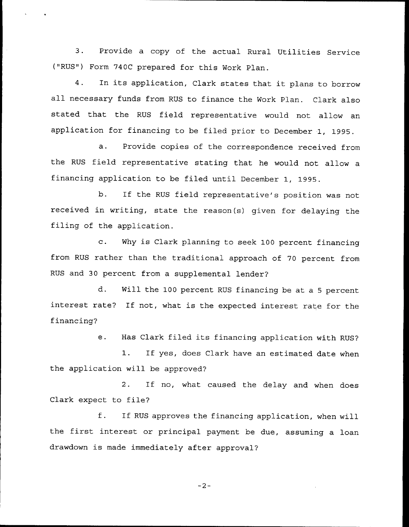3. Provide <sup>a</sup> copy of the actual Rural Utilities Service ("RUS") Form 740C prepared for this Work Plan.

4. In its application, Clark states that it plans to borrow all necessary funds from RUS to finance the Work Plan. Clark also stated that the RUS field representative would not allow an application for financing to be filed prior to December 1, 1995.

a. Provide copies of the correspondence received from the RUS field representative stating that he would not allow a financing application to be filed until December 1, 1995.

b. If the RUS field representative's position was not received in writing, state the reason(s) given for delaying the filing of the application.

c. Why is Clark planning to seek <sup>100</sup> percent financing from RUS rather than the traditional approach of 70 percent from RUS and 30 percent from a supplemental lender?

d. Will the 100 percent RUS financing be at a <sup>5</sup> percent interest rate? If not, what is the expected interest rate for the financing?

e. Has Clark filed its financing application with RUS?

1. If yes, does Clark have an estimated date when the application will be approved?

2. If no, what caused the delay and when does Clark expect to file?

f. If RUS approves the financing application, when will the first interest or principal payment be due, assuming <sup>a</sup> loan drawdown is made immediately after approval?

$$
^{\perp 2-}
$$